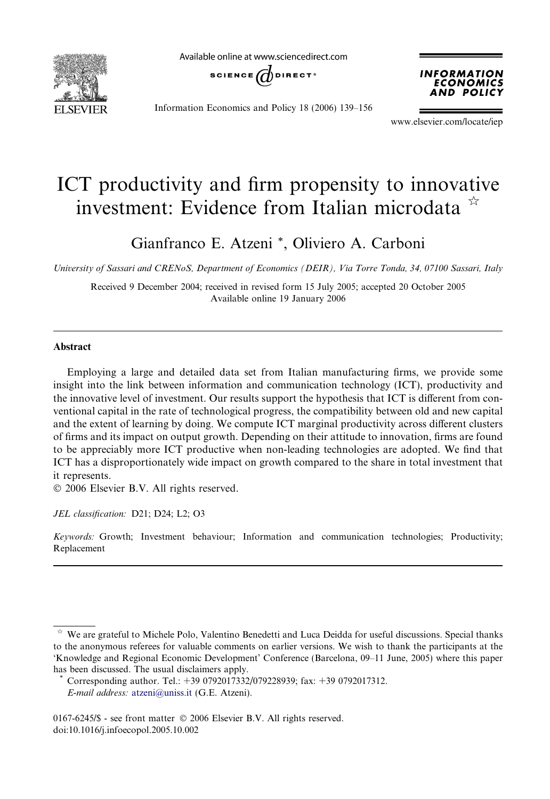

Available online at www.sciencedirect.com



Information Economics and Policy 18 (2006) 139–156

INFORMATION **ECONOMICS** AND POLIC

www.elsevier.com/locate/iep

## ICT productivity and firm propensity to innovative investment: Evidence from Italian microdata  $\mathbb{R}$

Gianfranco E. Atzeni \*, Oliviero A. Carboni

University of Sassari and CRENoS, Department of Economics (DEIR), Via Torre Tonda, 34, 07100 Sassari, Italy

Received 9 December 2004; received in revised form 15 July 2005; accepted 20 October 2005 Available online 19 January 2006

## Abstract

Employing a large and detailed data set from Italian manufacturing firms, we provide some insight into the link between information and communication technology (ICT), productivity and the innovative level of investment. Our results support the hypothesis that ICT is different from conventional capital in the rate of technological progress, the compatibility between old and new capital and the extent of learning by doing. We compute ICT marginal productivity across different clusters of firms and its impact on output growth. Depending on their attitude to innovation, firms are found to be appreciably more ICT productive when non-leading technologies are adopted. We find that ICT has a disproportionately wide impact on growth compared to the share in total investment that it represents.

© 2006 Elsevier B.V. All rights reserved.

JEL classification: D21; D24; L2; O3

Keywords: Growth; Investment behaviour; Information and communication technologies; Productivity; Replacement

 $*$  We are grateful to Michele Polo, Valentino Benedetti and Luca Deidda for useful discussions. Special thanks to the anonymous referees for valuable comments on earlier versions. We wish to thank the participants at the 'Knowledge and Regional Economic Development' Conference (Barcelona, 09–11 June, 2005) where this paper has been discussed. The usual disclaimers apply.

Corresponding author. Tel.: +39 0792017332/079228939; fax: +39 0792017312. E-mail address: [atzeni@uniss.it](mailto:atzeni@uniss.it) (G.E. Atzeni).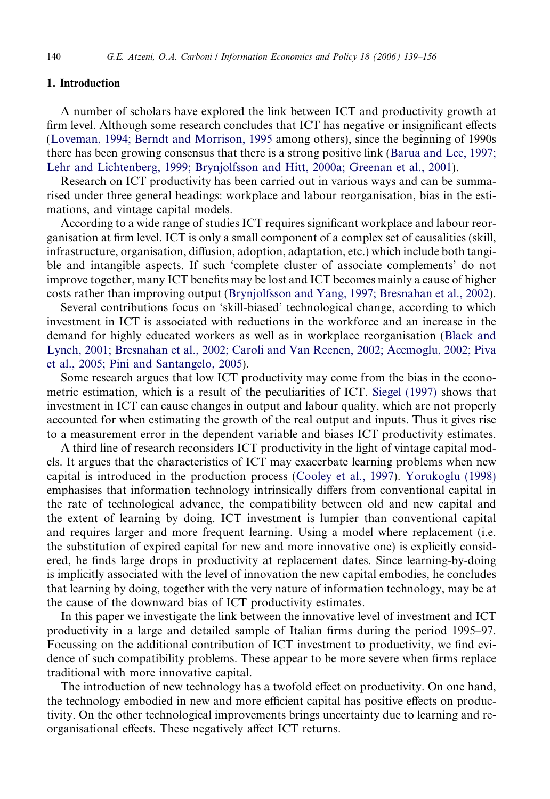## 1. Introduction

A number of scholars have explored the link between ICT and productivity growth at firm level. Although some research concludes that ICT has negative or insignificant effects [\(Loveman, 1994; Berndt and Morrison, 1995](#page--1-0) among others), since the beginning of 1990s there has been growing consensus that there is a strong positive link [\(Barua and Lee, 1997;](#page--1-0) [Lehr and Lichtenberg, 1999; Brynjolfsson and Hitt, 2000a; Greenan et al., 2001\)](#page--1-0).

Research on ICT productivity has been carried out in various ways and can be summarised under three general headings: workplace and labour reorganisation, bias in the estimations, and vintage capital models.

According to a wide range of studies ICT requires significant workplace and labour reorganisation at firm level. ICT is only a small component of a complex set of causalities (skill, infrastructure, organisation, diffusion, adoption, adaptation, etc.) which include both tangible and intangible aspects. If such 'complete cluster of associate complements' do not improve together, many ICT benefits may be lost and ICT becomes mainly a cause of higher costs rather than improving output [\(Brynjolfsson and Yang, 1997; Bresnahan et al., 2002](#page--1-0)).

Several contributions focus on 'skill-biased' technological change, according to which investment in ICT is associated with reductions in the workforce and an increase in the demand for highly educated workers as well as in workplace reorganisation [\(Black and](#page--1-0) [Lynch, 2001; Bresnahan et al., 2002; Caroli and Van Reenen, 2002; Acemoglu, 2002; Piva](#page--1-0) [et al., 2005; Pini and Santangelo, 2005](#page--1-0)).

Some research argues that low ICT productivity may come from the bias in the econometric estimation, which is a result of the peculiarities of ICT. [Siegel \(1997\)](#page--1-0) shows that investment in ICT can cause changes in output and labour quality, which are not properly accounted for when estimating the growth of the real output and inputs. Thus it gives rise to a measurement error in the dependent variable and biases ICT productivity estimates.

A third line of research reconsiders ICT productivity in the light of vintage capital models. It argues that the characteristics of ICT may exacerbate learning problems when new capital is introduced in the production process [\(Cooley et al., 1997\)](#page--1-0). [Yorukoglu \(1998\)](#page--1-0) emphasises that information technology intrinsically differs from conventional capital in the rate of technological advance, the compatibility between old and new capital and the extent of learning by doing. ICT investment is lumpier than conventional capital and requires larger and more frequent learning. Using a model where replacement (i.e. the substitution of expired capital for new and more innovative one) is explicitly considered, he finds large drops in productivity at replacement dates. Since learning-by-doing is implicitly associated with the level of innovation the new capital embodies, he concludes that learning by doing, together with the very nature of information technology, may be at the cause of the downward bias of ICT productivity estimates.

In this paper we investigate the link between the innovative level of investment and ICT productivity in a large and detailed sample of Italian firms during the period 1995–97. Focussing on the additional contribution of ICT investment to productivity, we find evidence of such compatibility problems. These appear to be more severe when firms replace traditional with more innovative capital.

The introduction of new technology has a twofold effect on productivity. On one hand, the technology embodied in new and more efficient capital has positive effects on productivity. On the other technological improvements brings uncertainty due to learning and reorganisational effects. These negatively affect ICT returns.